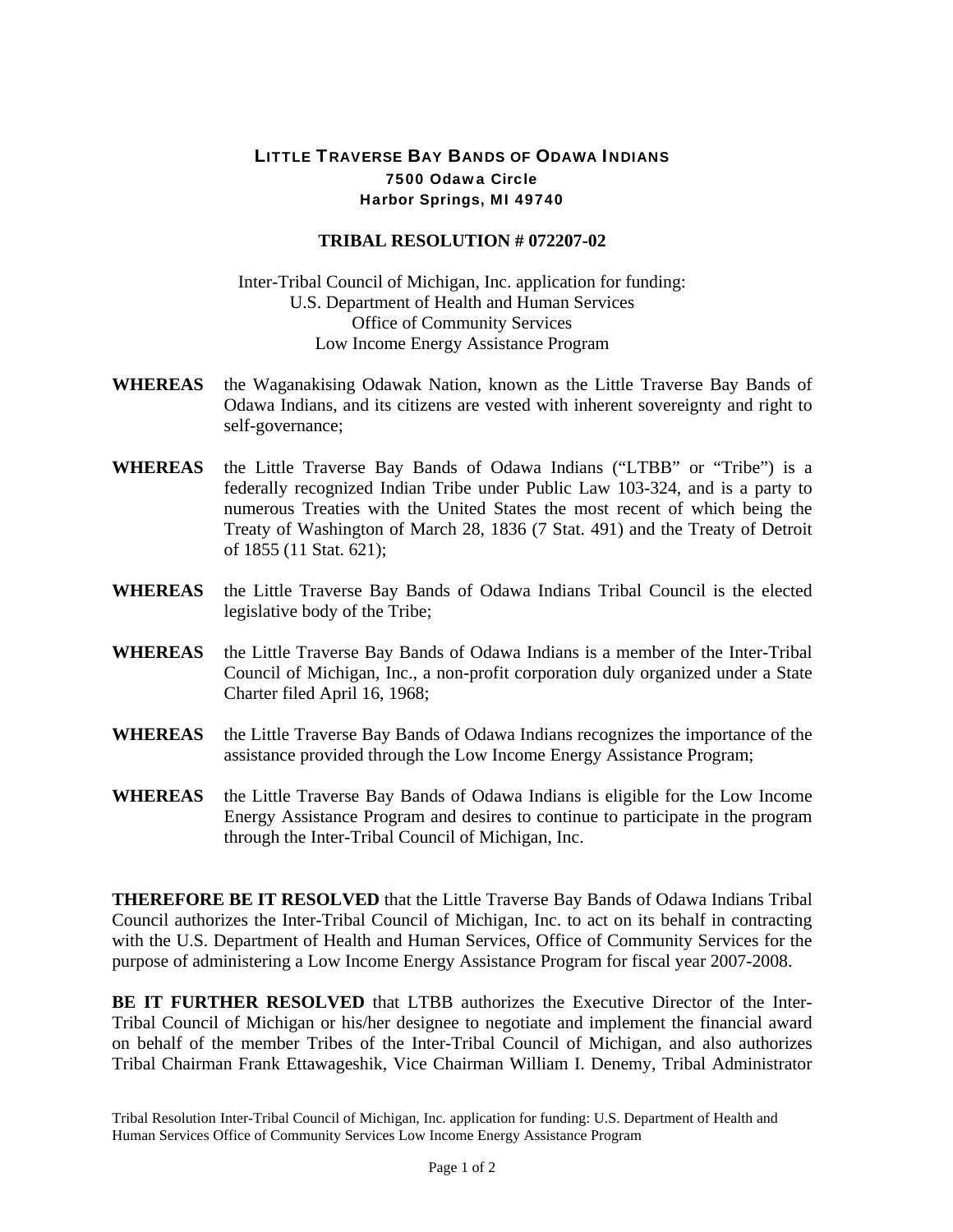## LITTLE TRAVERSE BAY BANDS OF ODAWA INDIANS 7500 Odawa Circle Harbor Springs, MI 49740

## **TRIBAL RESOLUTION # 072207-02**

Inter-Tribal Council of Michigan, Inc. application for funding: U.S. Department of Health and Human Services Office of Community Services Low Income Energy Assistance Program

- **WHEREAS** the Waganakising Odawak Nation, known as the Little Traverse Bay Bands of Odawa Indians, and its citizens are vested with inherent sovereignty and right to self-governance;
- **WHEREAS** the Little Traverse Bay Bands of Odawa Indians ("LTBB" or "Tribe") is a federally recognized Indian Tribe under Public Law 103-324, and is a party to numerous Treaties with the United States the most recent of which being the Treaty of Washington of March 28, 1836 (7 Stat. 491) and the Treaty of Detroit of 1855 (11 Stat. 621);
- **WHEREAS** the Little Traverse Bay Bands of Odawa Indians Tribal Council is the elected legislative body of the Tribe;
- **WHEREAS** the Little Traverse Bay Bands of Odawa Indians is a member of the Inter-Tribal Council of Michigan, Inc., a non-profit corporation duly organized under a State Charter filed April 16, 1968;
- **WHEREAS** the Little Traverse Bay Bands of Odawa Indians recognizes the importance of the assistance provided through the Low Income Energy Assistance Program;
- **WHEREAS** the Little Traverse Bay Bands of Odawa Indians is eligible for the Low Income Energy Assistance Program and desires to continue to participate in the program through the Inter-Tribal Council of Michigan, Inc.

**THEREFORE BE IT RESOLVED** that the Little Traverse Bay Bands of Odawa Indians Tribal Council authorizes the Inter-Tribal Council of Michigan, Inc. to act on its behalf in contracting with the U.S. Department of Health and Human Services, Office of Community Services for the purpose of administering a Low Income Energy Assistance Program for fiscal year 2007-2008.

**BE IT FURTHER RESOLVED** that LTBB authorizes the Executive Director of the Inter-Tribal Council of Michigan or his/her designee to negotiate and implement the financial award on behalf of the member Tribes of the Inter-Tribal Council of Michigan, and also authorizes Tribal Chairman Frank Ettawageshik, Vice Chairman William I. Denemy, Tribal Administrator

Tribal Resolution Inter-Tribal Council of Michigan, Inc. application for funding: U.S. Department of Health and Human Services Office of Community Services Low Income Energy Assistance Program